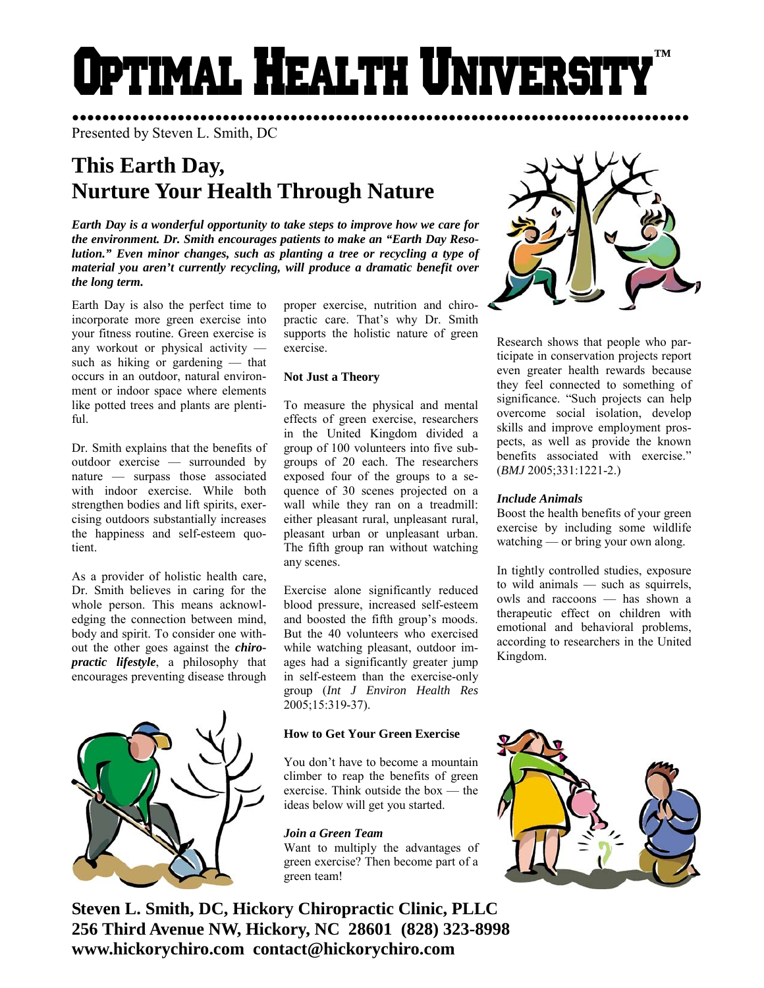# Optimal Health Universi **™**

●●●●●●●●●●●●●●●●●●●●●●●●●●●●●●●●●●●●●●●●●●●●●●●●●●●●●●●●●●●●●●●●●●●●●●●●●●●●●●●●●● Presented by Steven L. Smith, DC

# **This Earth Day, Nurture Your Health Through Nature**

*Earth Day is a wonderful opportunity to take steps to improve how we care for the environment. Dr. Smith encourages patients to make an "Earth Day Resolution." Even minor changes, such as planting a tree or recycling a type of material you aren't currently recycling, will produce a dramatic benefit over the long term.* 

Earth Day is also the perfect time to incorporate more green exercise into your fitness routine. Green exercise is any workout or physical activity such as hiking or gardening — that occurs in an outdoor, natural environment or indoor space where elements like potted trees and plants are plentiful.

Dr. Smith explains that the benefits of outdoor exercise — surrounded by nature — surpass those associated with indoor exercise. While both strengthen bodies and lift spirits, exercising outdoors substantially increases the happiness and self-esteem quotient.

As a provider of holistic health care, Dr. Smith believes in caring for the whole person. This means acknowledging the connection between mind, body and spirit. To consider one without the other goes against the *chiropractic lifestyle*, a philosophy that encourages preventing disease through



proper exercise, nutrition and chiropractic care. That's why Dr. Smith supports the holistic nature of green exercise.

## **Not Just a Theory**

To measure the physical and mental effects of green exercise, researchers in the United Kingdom divided a group of 100 volunteers into five subgroups of 20 each. The researchers exposed four of the groups to a sequence of 30 scenes projected on a wall while they ran on a treadmill: either pleasant rural, unpleasant rural, pleasant urban or unpleasant urban. The fifth group ran without watching any scenes.

Exercise alone significantly reduced blood pressure, increased self-esteem and boosted the fifth group's moods. But the 40 volunteers who exercised while watching pleasant, outdoor images had a significantly greater jump in self-esteem than the exercise-only group (*Int J Environ Health Res* 2005;15:319-37).

# **How to Get Your Green Exercise**

You don't have to become a mountain climber to reap the benefits of green exercise. Think outside the box — the ideas below will get you started.

# *Join a Green Team*

Want to multiply the advantages of green exercise? Then become part of a green team!

**Steven L. Smith, DC, Hickory Chiropractic Clinic, PLLC 256 Third Avenue NW, Hickory, NC 28601 (828) 323-8998 www.hickorychiro.com contact@hickorychiro.com** 



Research shows that people who participate in conservation projects report even greater health rewards because they feel connected to something of significance. "Such projects can help overcome social isolation, develop skills and improve employment prospects, as well as provide the known benefits associated with exercise." (*BMJ* 2005;331:1221-2.)

### *Include Animals*

Boost the health benefits of your green exercise by including some wildlife watching — or bring your own along.

In tightly controlled studies, exposure to wild animals — such as squirrels, owls and raccoons — has shown a therapeutic effect on children with emotional and behavioral problems, according to researchers in the United Kingdom.